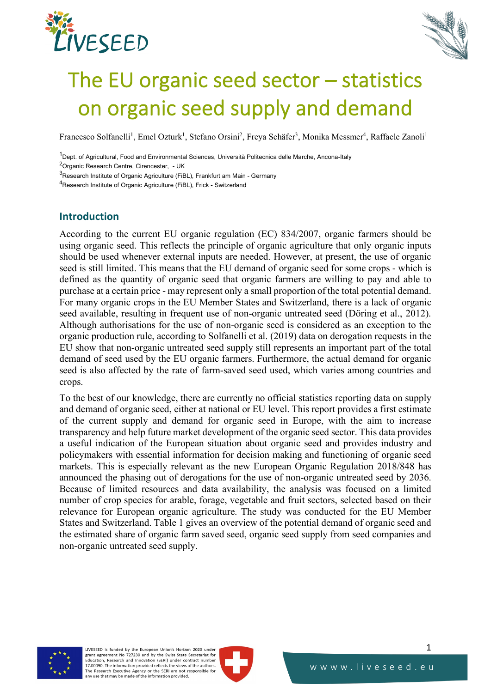



# The EU organic seed sector – statistics on organic seed supply and demand

Francesco Solfanelli<sup>1</sup>, Emel Ozturk<sup>1</sup>, Stefano Orsini<sup>2</sup>, Freya Schäfer<sup>3</sup>, Monika Messmer<sup>4</sup>, Raffaele Zanoli<sup>1</sup>

<sup>1</sup>Dept. of Agricultural, Food and Environmental Sciences, Università Politecnica delle Marche, Ancona-Italy

<sup>2</sup>Organic Research Centre, Cirencester, - UK

<sup>3</sup>Research Institute of Organic Agriculture (FiBL), Frankfurt am Main - Germany

4Research Institute of Organic Agriculture (FiBL), Frick - Switzerland

# **Introduction**

According to the current EU organic regulation (EC) 834/2007, organic farmers should be using organic seed. This reflects the principle of organic agriculture that only organic inputs should be used whenever external inputs are needed. However, at present, the use of organic seed is still limited. This means that the EU demand of organic seed for some crops - which is defined as the quantity of organic seed that organic farmers are willing to pay and able to purchase at a certain price - may represent only a small proportion of the total potential demand. For many organic crops in the EU Member States and Switzerland, there is a lack of organic seed available, resulting in frequent use of non-organic untreated seed (Döring et al., 2012). Although authorisations for the use of non-organic seed is considered as an exception to the organic production rule, according to Solfanelli et al. (2019) data on derogation requests in the EU show that non-organic untreated seed supply still represents an important part of the total demand of seed used by the EU organic farmers. Furthermore, the actual demand for organic seed is also affected by the rate of farm-saved seed used, which varies among countries and crops.

To the best of our knowledge, there are currently no official statistics reporting data on supply and demand of organic seed, either at national or EU level. This report provides a first estimate of the current supply and demand for organic seed in Europe, with the aim to increase transparency and help future market development of the organic seed sector. This data provides a useful indication of the European situation about organic seed and provides industry and policymakers with essential information for decision making and functioning of organic seed markets. This is especially relevant as the new European Organic Regulation 2018/848 has announced the phasing out of derogations for the use of non-organic untreated seed by 2036. Because of limited resources and data availability, the analysis was focused on a limited number of crop species for arable, forage, vegetable and fruit sectors, selected based on their relevance for European organic agriculture. The study was conducted for the EU Member States and Switzerland. Table 1 gives an overview of the potential demand of organic seed and the estimated share of organic farm saved seed, organic seed supply from seed companies and non-organic untreated seed supply.



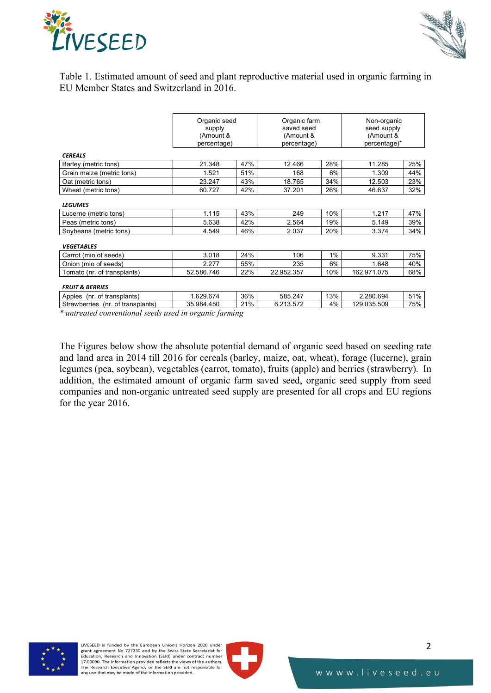



Table 1. Estimated amount of seed and plant reproductive material used in organic farming in EU Member States and Switzerland in 2016.

|                                   | Organic seed<br>supply<br>(Amount &<br>percentage) |     | Organic farm<br>saved seed<br>(Amount &<br>percentage) |       | Non-organic<br>seed supply<br>(Amount &<br>percentage)* |     |
|-----------------------------------|----------------------------------------------------|-----|--------------------------------------------------------|-------|---------------------------------------------------------|-----|
| <b>CEREALS</b>                    |                                                    |     |                                                        |       |                                                         |     |
| Barley (metric tons)              | 21.348                                             | 47% | 12.466                                                 | 28%   | 11.285                                                  | 25% |
| Grain maize (metric tons)         | 1.521                                              | 51% | 168                                                    | 6%    | 1.309                                                   | 44% |
| Oat (metric tons)                 | 23.247                                             | 43% | 18.765                                                 | 34%   | 12.503                                                  | 23% |
| Wheat (metric tons)               | 60.727                                             | 42% | 37.201                                                 | 26%   | 46.637                                                  | 32% |
| <b>LEGUMES</b>                    |                                                    |     |                                                        |       |                                                         |     |
| Lucerne (metric tons)             | 1.115                                              | 43% | 249                                                    | 10%   | 1.217                                                   | 47% |
| Peas (metric tons)                | 5.638                                              | 42% | 2.564                                                  | 19%   | 5.149                                                   | 39% |
| Soybeans (metric tons)            | 4.549                                              | 46% | 2.037                                                  | 20%   | 3.374                                                   | 34% |
| <b>VEGETABLES</b>                 |                                                    |     |                                                        |       |                                                         |     |
| Carrot (mio of seeds)             | 3.018                                              | 24% | 106                                                    | $1\%$ | 9.331                                                   | 75% |
| Onion (mio of seeds)              | 2.277                                              | 55% | 235                                                    | 6%    | 1.648                                                   | 40% |
| Tomato (nr. of transplants)       | 52.586.746                                         | 22% | 22.952.357                                             | 10%   | 162.971.075                                             | 68% |
| <b>FRUIT &amp; BERRIES</b>        |                                                    |     |                                                        |       |                                                         |     |
| Apples (nr. of transplants)       | 1.629.674                                          | 36% | 585.247                                                | 13%   | 2.280.694                                               | 51% |
| Strawberries (nr. of transplants) | 35.984.450                                         | 21% | 6.213.572                                              | 4%    | 129.035.509                                             | 75% |

*\* untreated conventional seeds used in organic farming*

The Figures below show the absolute potential demand of organic seed based on seeding rate and land area in 2014 till 2016 for cereals (barley, maize, oat, wheat), forage (lucerne), grain legumes (pea, soybean), vegetables (carrot, tomato), fruits (apple) and berries (strawberry). In addition, the estimated amount of organic farm saved seed, organic seed supply from seed companies and non-organic untreated seed supply are presented for all crops and EU regions for the year 2016.



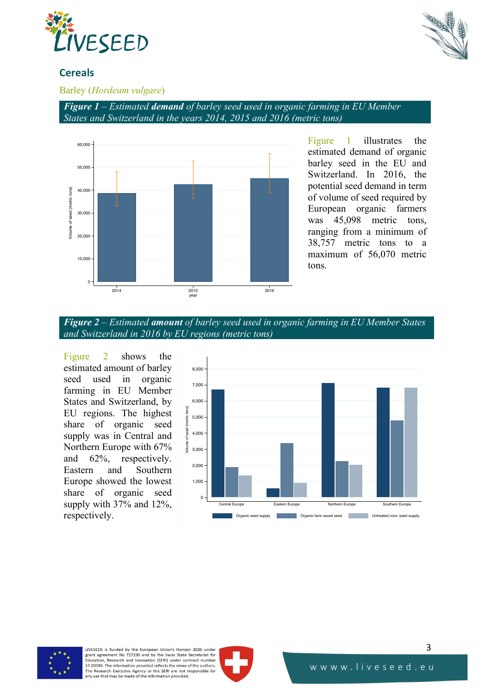



# **Cereals**

## Barley (*Hordeum vulgare*)

*Figure 1 – Estimated demand of barley seed used in organic farming in EU Member States and Switzerland in the years 2014, 2015 and 2016 (metric tons)*



Figure 1 illustrates the estimated demand of organic barley seed in the EU and Switzerland. In 2016, the potential seed demand in term of volume of seed required by European organic farmers was 45,098 metric tons, ranging from a minimum of 38,757 metric tons to a maximum of 56,070 metric tons.



Figure 2 shows the estimated amount of barley seed used in organic farming in EU Member States and Switzerland, by EU regions. The highest share of organic seed supply was in Central and Northern Europe with 67% and 62%, respectively. Eastern and Southern Europe showed the lowest share of organic seed supply with 37% and 12%, respectively.





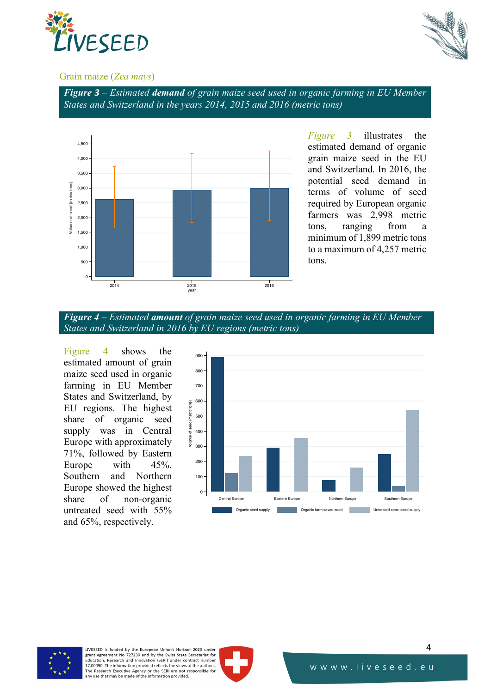



#### Grain maize (*Zea mays*)

*Figure 3 – Estimated demand of grain maize seed used in organic farming in EU Member States and Switzerland in the years 2014, 2015 and 2016 (metric tons)*



*Figure 3* illustrates the estimated demand of organic grain maize seed in the EU and Switzerland. In 2016, the potential seed demand in terms of volume of seed required by European organic farmers was 2,998 metric tons, ranging from a minimum of 1,899 metric tons to a maximum of 4,257 metric tons.



Figure 4 shows the estimated amount of grain maize seed used in organic farming in EU Member States and Switzerland, by EU regions. The highest share of organic seed supply was in Central Europe with approximately 71%, followed by Eastern Europe with 45%. Southern and Northern Europe showed the highest share of non-organic untreated seed with 55% and 65%, respectively.





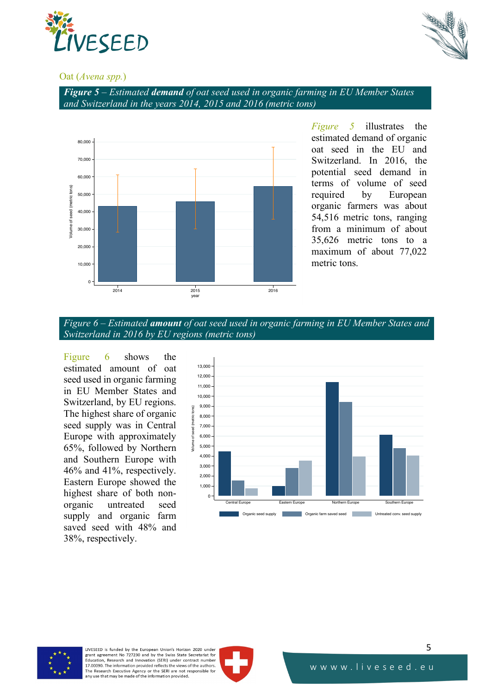



#### Oat (*Avena spp.*)

*Figure 5 – Estimated demand of oat seed used in organic farming in EU Member States and Switzerland in the years 2014, 2015 and 2016 (metric tons)*



*Figure 5* illustrates the estimated demand of organic oat seed in the EU and Switzerland. In 2016, the potential seed demand in terms of volume of seed required by European organic farmers was about 54,516 metric tons, ranging from a minimum of about 35,626 metric tons to a maximum of about 77,022 metric tons.



Figure 6 shows the estimated amount of oat seed used in organic farming in EU Member States and Switzerland, by EU regions. The highest share of organic seed supply was in Central Europe with approximately 65%, followed by Northern and Southern Europe with 46% and 41%, respectively. Eastern Europe showed the highest share of both nonorganic untreated seed supply and organic farm saved seed with 48% and 38%, respectively.





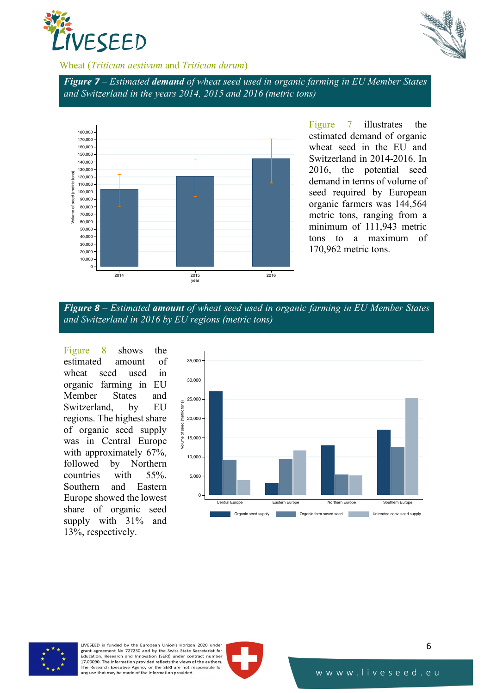



## Wheat (*Triticum aestivum* and *Triticum durum*)

*Figure 7 – Estimated demand of wheat seed used in organic farming in EU Member States and Switzerland in the years 2014, 2015 and 2016 (metric tons)*



Figure 7 illustrates the estimated demand of organic wheat seed in the EU and Switzerland in 2014-2016. In 2016, the potential seed demand in terms of volume of seed required by European organic farmers was 144,564 metric tons, ranging from a minimum of 111,943 metric tons to a maximum of 170,962 metric tons.



Figure 8 shows the estimated amount of wheat seed used in organic farming in EU Member States and Switzerland, by EU regions. The highest share of organic seed supply was in Central Europe with approximately 67%, followed by Northern countries with 55%. Southern and Eastern Europe showed the lowest share of organic seed supply with 31% and 13%, respectively.





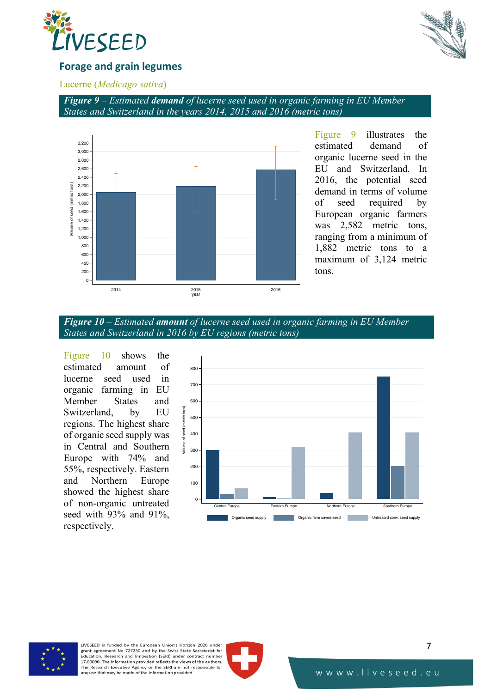



## **Forage and grain legumes**

#### Lucerne (*Medicago sativa*)

*Figure 9 – Estimated demand of lucerne seed used in organic farming in EU Member States and Switzerland in the years 2014, 2015 and 2016 (metric tons)*



Figure 9 illustrates the estimated demand of organic lucerne seed in the EU and Switzerland. In 2016, the potential seed demand in terms of volume of seed required by European organic farmers was 2,582 metric tons, ranging from a minimum of 1,882 metric tons to a maximum of 3,124 metric tons.



Figure 10 shows the estimated amount of lucerne seed used in organic farming in EU Member States and Switzerland, by EU regions. The highest share of organic seed supply was in Central and Southern Europe with 74% and 55%, respectively. Eastern and Northern Europe showed the highest share of non-organic untreated seed with 93% and 91%, respectively.





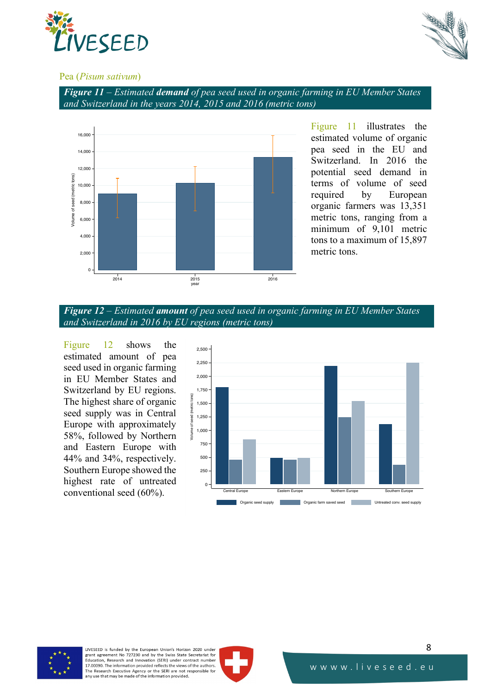



#### Pea (*Pisum sativum*)

*Figure 11 – Estimated demand of pea seed used in organic farming in EU Member States and Switzerland in the years 2014, 2015 and 2016 (metric tons)*



Figure 11 illustrates the estimated volume of organic pea seed in the EU and Switzerland. In 2016 the potential seed demand in terms of volume of seed required by European organic farmers was 13,351 metric tons, ranging from a minimum of 9,101 metric tons to a maximum of 15,897 metric tons.



Figure 12 shows the estimated amount of pea seed used in organic farming in EU Member States and Switzerland by EU regions. The highest share of organic seed supply was in Central Europe with approximately 58%, followed by Northern and Eastern Europe with 44% and 34%, respectively. Southern Europe showed the highest rate of untreated conventional seed (60%).





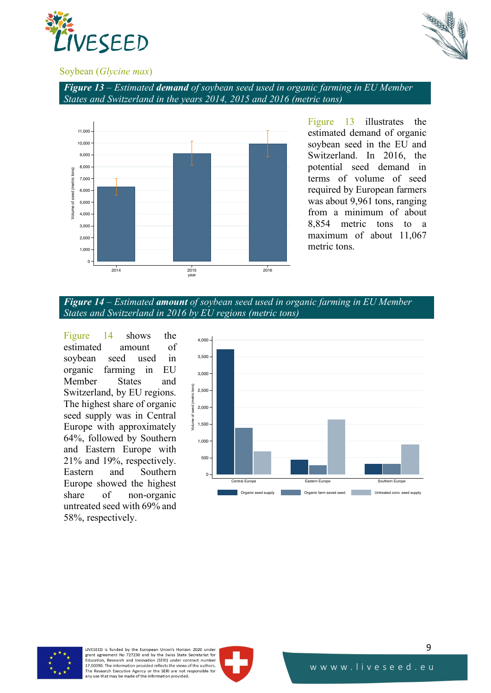



#### Soybean (*Glycine max*)





Figure 13 illustrates the estimated demand of organic soybean seed in the EU and Switzerland. In 2016, the potential seed demand in terms of volume of seed required by European farmers was about 9,961 tons, ranging from a minimum of about 8,854 metric tons to a maximum of about 11,067 metric tons.



Figure 14 shows the estimated amount of soybean seed used in organic farming in EU Member States and Switzerland, by EU regions. The highest share of organic seed supply was in Central Europe with approximately 64%, followed by Southern and Eastern Europe with 21% and 19%, respectively. Eastern and Southern Europe showed the highest share of non-organic untreated seed with 69% and 58%, respectively.





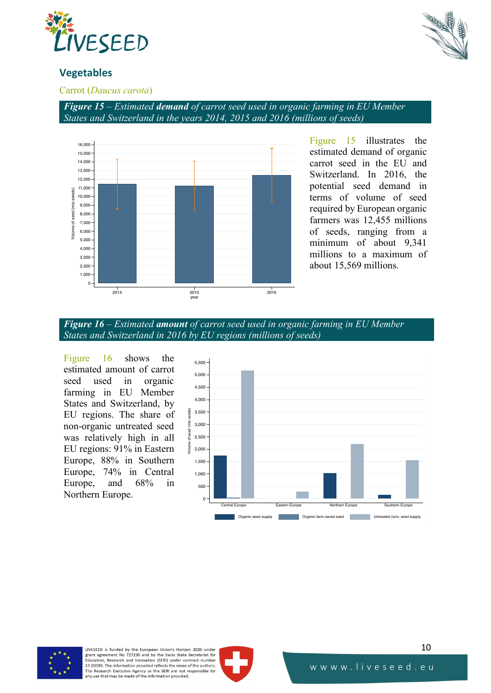



# **Vegetables**

Carrot (*Daucus carota*)

*Figure 15 – Estimated demand of carrot seed used in organic farming in EU Member States and Switzerland in the years 2014, 2015 and 2016 (millions of seeds)*



Figure 15 illustrates the estimated demand of organic carrot seed in the EU and Switzerland. In 2016, the potential seed demand in terms of volume of seed required by European organic farmers was 12,455 millions of seeds, ranging from a minimum of about 9,341 millions to a maximum of about 15,569 millions.



Figure 16 shows the estimated amount of carrot seed used in organic farming in EU Member States and Switzerland, by EU regions. The share of non-organic untreated seed was relatively high in all EU regions: 91% in Eastern Europe, 88% in Southern Europe, 74% in Central Europe, and 68% in Northern Europe.





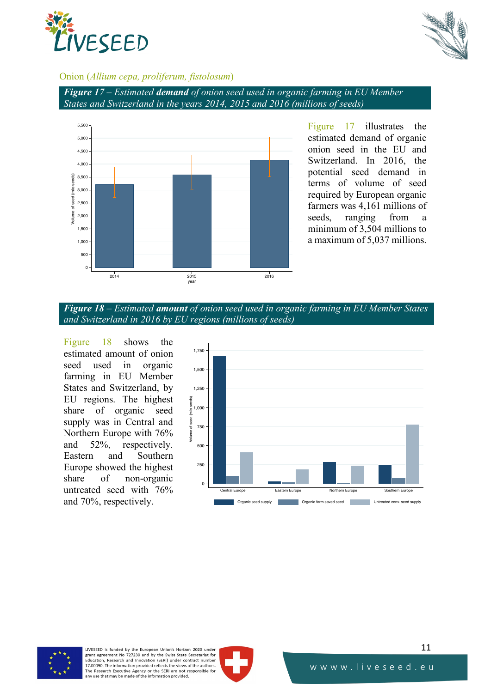



#### Onion (*Allium cepa, proliferum, fistolosum*)

*Figure 17 – Estimated demand of onion seed used in organic farming in EU Member States and Switzerland in the years 2014, 2015 and 2016 (millions of seeds)*



Figure 17 illustrates the estimated demand of organic onion seed in the EU and Switzerland. In 2016, the potential seed demand in terms of volume of seed required by European organic farmers was 4,161 millions of seeds, ranging from a minimum of 3,504 millions to a maximum of 5,037 millions.

*Figure 18 – Estimated amount of onion seed used in organic farming in EU Member States and Switzerland in 2016 by EU regions (millions of seeds)*

Figure 18 shows the estimated amount of onion seed used in organic farming in EU Member States and Switzerland, by EU regions. The highest share of organic seed supply was in Central and Northern Europe with 76% and 52%, respectively. Eastern and Southern Europe showed the highest share of non-organic untreated seed with 76% and 70%, respectively.





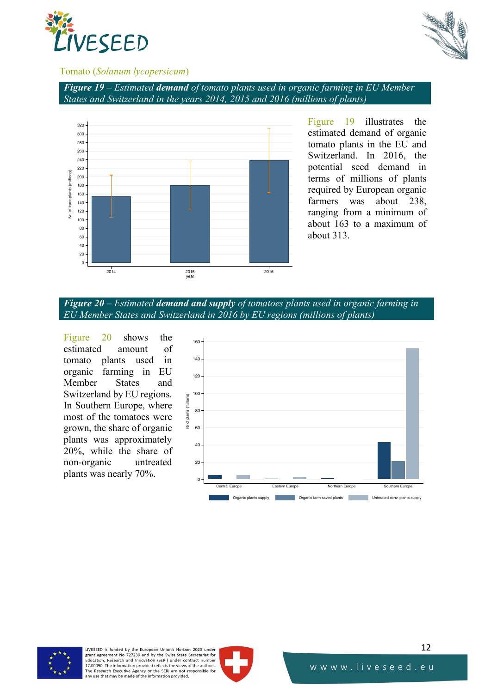



#### Tomato (*Solanum lycopersicum*)

*Figure 19 – Estimated demand of tomato plants used in organic farming in EU Member States and Switzerland in the years 2014, 2015 and 2016 (millions of plants)*



Figure 19 illustrates the estimated demand of organic tomato plants in the EU and Switzerland. In 2016, the potential seed demand in terms of millions of plants required by European organic farmers was about 238, ranging from a minimum of about 163 to a maximum of about 313.

*Figure 20 – Estimated demand and supply of tomatoes plants used in organic farming in EU Member States and Switzerland in 2016 by EU regions (millions of plants)*

Figure 20 shows the estimated amount of tomato plants used in organic farming in EU Member States and Switzerland by EU regions. In Southern Europe, where most of the tomatoes were grown, the share of organic plants was approximately 20%, while the share of non-organic untreated plants was nearly 70%.





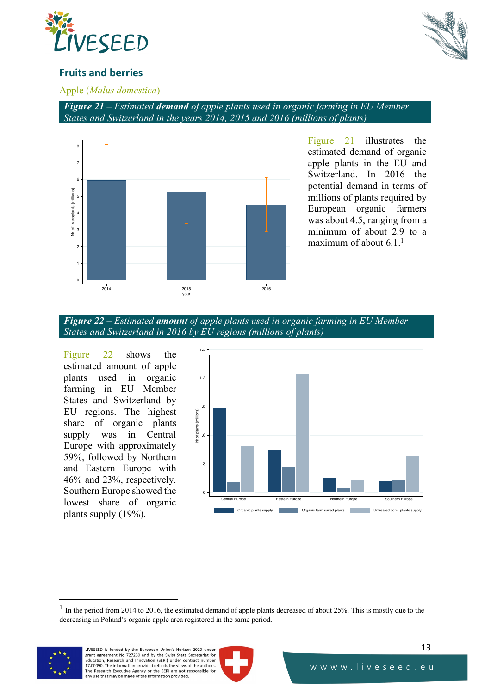



# **Fruits and berries**

#### Apple (*Malus domestica*)

*Figure 21 – Estimated demand of apple plants used in organic farming in EU Member States and Switzerland in the years 2014, 2015 and 2016 (millions of plants)*



Figure 21 illustrates the estimated demand of organic apple plants in the EU and Switzerland. In 2016 the potential demand in terms of millions of plants required by European organic farmers was about 4.5, ranging from a minimum of about 2.9 to a maximum of about 6.1.<sup>1</sup>



Figure 22 shows the estimated amount of apple plants used in organic farming in EU Member States and Switzerland by EU regions. The highest share of organic plants supply was in Central Europe with approximately 59%, followed by Northern and Eastern Europe with 46% and 23%, respectively. Southern Europe showed the lowest share of organic plants supply (19%).



 $<sup>1</sup>$  In the period from 2014 to 2016, the estimated demand of apple plants decreased of about 25%. This is mostly due to the</sup> decreasing in Poland's organic apple area registered in the same period.



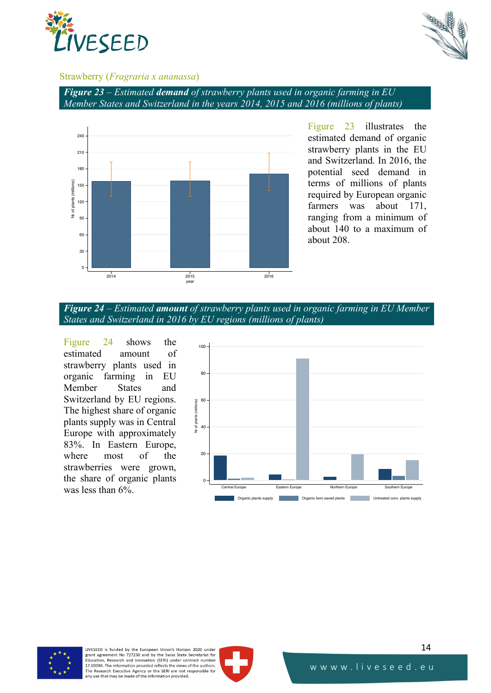



#### Strawberry (*Fragraria x ananassa*)

*Figure 23 – Estimated demand of strawberry plants used in organic farming in EU Member States and Switzerland in the years 2014, 2015 and 2016 (millions of plants)*



Figure 23 illustrates the estimated demand of organic strawberry plants in the EU and Switzerland. In 2016, the potential seed demand in terms of millions of plants required by European organic farmers was about 171, ranging from a minimum of about 140 to a maximum of about 208.



Figure 24 shows the estimated amount of strawberry plants used in organic farming in EU Member States and Switzerland by EU regions. The highest share of organic plants supply was in Central Europe with approximately 83%. In Eastern Europe, where most of the strawberries were grown, the share of organic plants was less than 6%.